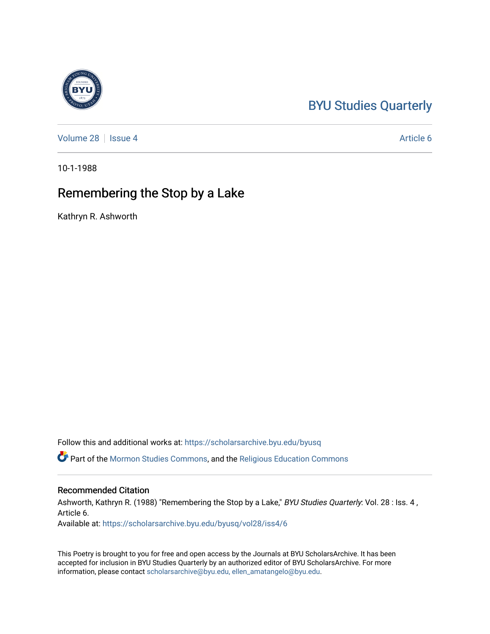## [BYU Studies Quarterly](https://scholarsarchive.byu.edu/byusq)

[Volume 28](https://scholarsarchive.byu.edu/byusq/vol28) | [Issue 4](https://scholarsarchive.byu.edu/byusq/vol28/iss4) Article 6

10-1-1988

## Remembering the Stop by a Lake

Kathryn R. Ashworth

Follow this and additional works at: [https://scholarsarchive.byu.edu/byusq](https://scholarsarchive.byu.edu/byusq?utm_source=scholarsarchive.byu.edu%2Fbyusq%2Fvol28%2Fiss4%2F6&utm_medium=PDF&utm_campaign=PDFCoverPages) 

Part of the [Mormon Studies Commons](http://network.bepress.com/hgg/discipline/1360?utm_source=scholarsarchive.byu.edu%2Fbyusq%2Fvol28%2Fiss4%2F6&utm_medium=PDF&utm_campaign=PDFCoverPages), and the [Religious Education Commons](http://network.bepress.com/hgg/discipline/1414?utm_source=scholarsarchive.byu.edu%2Fbyusq%2Fvol28%2Fiss4%2F6&utm_medium=PDF&utm_campaign=PDFCoverPages) 

## Recommended Citation

Ashworth, Kathryn R. (1988) "Remembering the Stop by a Lake," BYU Studies Quarterly: Vol. 28 : Iss. 4, Article 6.

Available at: [https://scholarsarchive.byu.edu/byusq/vol28/iss4/6](https://scholarsarchive.byu.edu/byusq/vol28/iss4/6?utm_source=scholarsarchive.byu.edu%2Fbyusq%2Fvol28%2Fiss4%2F6&utm_medium=PDF&utm_campaign=PDFCoverPages)

This Poetry is brought to you for free and open access by the Journals at BYU ScholarsArchive. It has been accepted for inclusion in BYU Studies Quarterly by an authorized editor of BYU ScholarsArchive. For more information, please contact [scholarsarchive@byu.edu, ellen\\_amatangelo@byu.edu.](mailto:scholarsarchive@byu.edu,%20ellen_amatangelo@byu.edu)